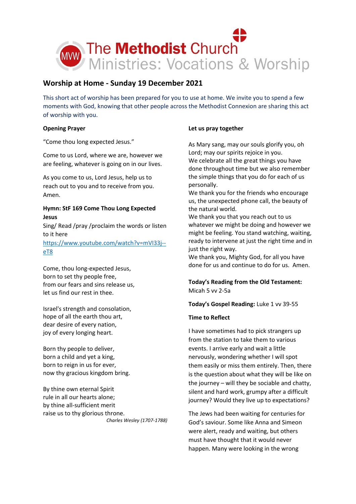

# **Worship at Home - Sunday 19 December 2021**

This short act of worship has been prepared for you to use at home. We invite you to spend a few moments with God, knowing that other people across the Methodist Connexion are sharing this act of worship with you.

## **Opening Prayer**

"Come thou long expected Jesus."

Come to us Lord, where we are, however we are feeling, whatever is going on in our lives.

As you come to us, Lord Jesus, help us to reach out to you and to receive from you. Amen.

## **Hymn: StF 169 Come Thou Long Expected Jesus**

Sing/ Read /pray /proclaim the words or listen to it here [https://www.youtube.com/watch?v=mVI33j-](https://www.youtube.com/watch?v=mVI33j--eT8) [eT8](https://www.youtube.com/watch?v=mVI33j--eT8)

Come, thou long-expected Jesus, born to set thy people free, from our fears and sins release us, let us find our rest in thee.

Israel's strength and consolation, hope of all the earth thou art, dear desire of every nation, joy of every longing heart.

Born thy people to deliver, born a child and yet a king, born to reign in us for ever, now thy gracious kingdom bring.

By thine own eternal Spirit rule in all our hearts alone; by thine all-sufficient merit raise us to thy glorious throne. *Charles Wesley (1707-1788)*

## **Let us pray together**

As Mary sang, may our souls glorify you, oh Lord; may our spirits rejoice in you. We celebrate all the great things you have done throughout time but we also remember the simple things that you do for each of us personally.

We thank you for the friends who encourage us, the unexpected phone call, the beauty of the natural world.

We thank you that you reach out to us whatever we might be doing and however we might be feeling. You stand watching, waiting, ready to intervene at just the right time and in just the right way.

We thank you, Mighty God, for all you have done for us and continue to do for us. Amen.

# **Today's Reading from the Old Testament:** Micah 5 vv 2-5a

**Today's Gospel Reading:** Luke 1 vv 39-55

# **Time to Reflect**

I have sometimes had to pick strangers up from the station to take them to various events. I arrive early and wait a little nervously, wondering whether I will spot them easily or miss them entirely. Then, there is the question about what they will be like on the journey – will they be sociable and chatty, silent and hard work, grumpy after a difficult journey? Would they live up to expectations?

The Jews had been waiting for centuries for God's saviour. Some like Anna and Simeon were alert, ready and waiting, but others must have thought that it would never happen. Many were looking in the wrong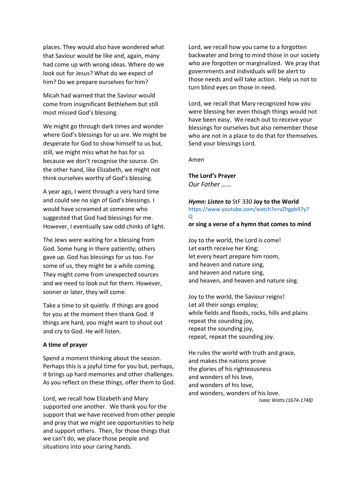places. They would also have wondered what that Saviour would be like and, again, many had come up with wrong ideas. Where do we look out for Jesus? What do we expect of him? Do we prepare ourselves for him?

Micah had warned that the Saviour would come from insignificant Bethlehem but still most missed God's blessing.

We might go through dark times and wonder where God's blessings for us are. We might be desperate for God to show himself to us but, still, we might miss what he has for us because we don't recognise the source. On the other hand, like Elizabeth, we might not think ourselves worthy of God's blessing.

A year ago, I went through a very hard time and could see no sign of God's blessings. I would have screamed at someone who suggested that God had blessings for me. However, I eventually saw odd chinks of light.

The Jews were waiting for a blessing from God. Some hung in there patiently; others gave up. God has blessings for us too. For some of us, they might be a while coming. They might come from unexpected sources and we need to look out for them. However, sooner or later, they will come.

Take a time to sit quietly. If things are good for you at the moment then thank God. If things are hard, you might want to shout out and cry to God. He will listen.

#### **A time of prayer**

Spend a moment thinking about the season. Perhaps this is a joyful time for you but, perhaps, it brings up hard memories and other challenges. As you reflect on these things, offer them to God.

Lord, we recall how Elizabeth and Mary supported one another. We thank you for the support that we have received from other people and pray that we might see opportunities to help and support others. Then, for those things that we can't do, we place those people and situations into your caring hands.

Lord, we recall how you came to a forgotten backwater and bring to mind those in our society who are forgotten or marginalized. We pray that governments and individuals will be alert to those needs and will take action. Help us not to turn blind eyes on those in need.

Lord, we recall that Mary recognized how you were blessing her even though things would not have been easy. We reach out to receive your blessings for ourselves but also remember those who are not in a place to do that for themselves. Send your blessings Lord.

Amen

#### **The Lord's Prayer**

*Our Father ……*

#### *Hymn: Listen to* StF 330 **[Joy](https://www.youtube.com/watch?v=1Hrh4lMgn-g) to the World** [https://www.youtube.com/watch?v=vZhgpb97y7](https://www.youtube.com/watch?v=vZhgpb97y7Q) [Q](https://www.youtube.com/watch?v=vZhgpb97y7Q)

#### **or sing a verse of a hymn that comes to mind**

Joy to the world, the Lord is come! Let earth receive her King; let every heart prepare him room, and heaven and nature sing, and heaven and nature sing, and heaven, and heaven and nature sing.

Joy to the world, the Saviour reigns! Let all their songs employ; while fields and floods, rocks, hills and plains repeat the sounding joy, repeat the sounding joy, repeat, repeat the sounding joy.

He rules the world with truth and grace, and makes the nations prove the glories of his righteousness and wonders of his love, and wonders of his love, and wonders, wonders of his love.

*Isaac Watts (1674-1748)*